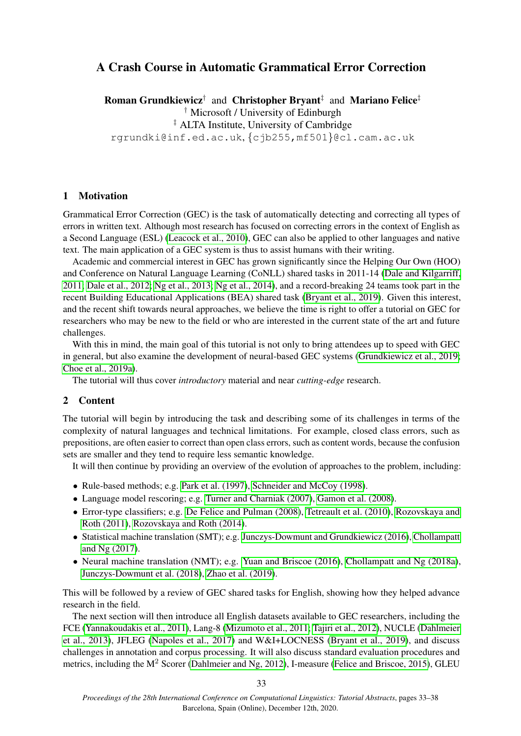# A Crash Course in Automatic Grammatical Error Correction

**Roman Grundkiewicz**<sup>†</sup> and Christopher Bryant<sup>‡</sup> and Mariano Felice<sup>‡</sup> † Microsoft / University of Edinburgh ‡ ALTA Institute, University of Cambridge rgrundki@inf.ed.ac.uk, {cjb255,mf501}@cl.cam.ac.uk

### 1 Motivation

Grammatical Error Correction (GEC) is the task of automatically detecting and correcting all types of errors in written text. Although most research has focused on correcting errors in the context of English as a Second Language (ESL) [\(Leacock et al., 2010\)](#page-4-0), GEC can also be applied to other languages and native text. The main application of a GEC system is thus to assist humans with their writing.

Academic and commercial interest in GEC has grown significantly since the Helping Our Own (HOO) and Conference on Natural Language Learning (CoNLL) shared tasks in 2011-14 [\(Dale and Kilgarriff,](#page-3-0) [2011;](#page-3-0) [Dale et al., 2012;](#page-3-1) [Ng et al., 2013;](#page-5-0) [Ng et al., 2014\)](#page-5-1), and a record-breaking 24 teams took part in the recent Building Educational Applications (BEA) shared task [\(Bryant et al., 2019\)](#page-3-2). Given this interest, and the recent shift towards neural approaches, we believe the time is right to offer a tutorial on GEC for researchers who may be new to the field or who are interested in the current state of the art and future challenges.

With this in mind, the main goal of this tutorial is not only to bring attendees up to speed with GEC in general, but also examine the development of neural-based GEC systems [\(Grundkiewicz et al., 2019;](#page-4-1) [Choe et al., 2019a\)](#page-3-3).

The tutorial will thus cover *introductory* material and near *cutting-edge* research.

#### 2 Content

The tutorial will begin by introducing the task and describing some of its challenges in terms of the complexity of natural languages and technical limitations. For example, closed class errors, such as prepositions, are often easier to correct than open class errors, such as content words, because the confusion sets are smaller and they tend to require less semantic knowledge.

It will then continue by providing an overview of the evolution of approaches to the problem, including:

- Rule-based methods; e.g. [Park et al. \(1997\)](#page-5-2), [Schneider and McCoy \(1998\)](#page-5-3).
- Language model rescoring; e.g. [Turner and Charniak \(2007\)](#page-5-4), [Gamon et al. \(2008\)](#page-4-2).
- Error-type classifiers; e.g. [De Felice and Pulman \(2008\)](#page-4-3), [Tetreault et al. \(2010\)](#page-5-5), [Rozovskaya and](#page-5-6) [Roth \(2011\)](#page-5-6), [Rozovskaya and Roth \(2014\)](#page-5-7).
- Statistical machine translation (SMT); e.g. [Junczys-Dowmunt and Grundkiewicz \(2016\)](#page-4-4), [Chollampatt](#page-3-4) [and Ng \(2017\)](#page-3-4).
- Neural machine translation (NMT); e.g. [Yuan and Briscoe \(2016\)](#page-5-8), [Chollampatt and Ng \(2018a\)](#page-3-5), [Junczys-Dowmunt et al. \(2018\)](#page-4-5), [Zhao et al. \(2019\)](#page-5-9).

This will be followed by a review of GEC shared tasks for English, showing how they helped advance research in the field.

The next section will then introduce all English datasets available to GEC researchers, including the FCE [\(Yannakoudakis et al., 2011\)](#page-5-10), Lang-8 [\(Mizumoto et al., 2011;](#page-4-6) [Tajiri et al., 2012\)](#page-5-11), NUCLE [\(Dahlmeier](#page-3-6) [et al., 2013\)](#page-3-6), JFLEG [\(Napoles et al., 2017\)](#page-4-7) and W&I+LOCNESS [\(Bryant et al., 2019\)](#page-3-2), and discuss challenges in annotation and corpus processing. It will also discuss standard evaluation procedures and metrics, including the M<sup>2</sup> Scorer [\(Dahlmeier and Ng, 2012\)](#page-3-7), I-measure [\(Felice and Briscoe, 2015\)](#page-4-8), GLEU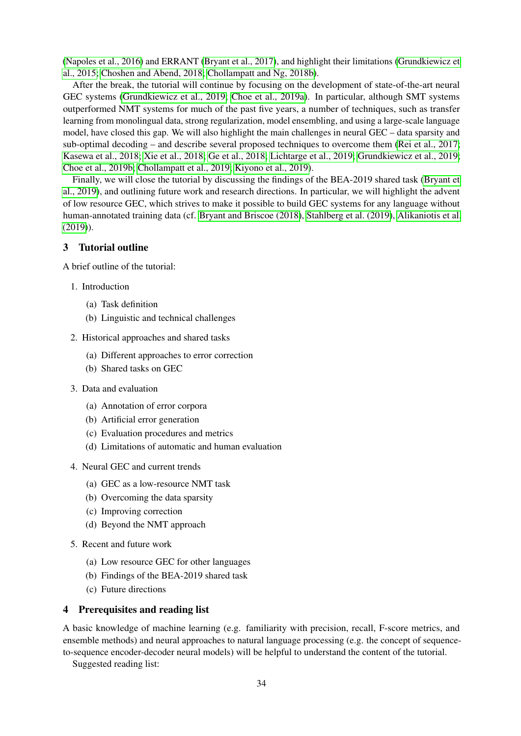[\(Napoles et al., 2016\)](#page-4-9) and ERRANT [\(Bryant et al., 2017\)](#page-3-8), and highlight their limitations [\(Grundkiewicz et](#page-4-10) [al., 2015;](#page-4-10) [Choshen and Abend, 2018;](#page-3-9) [Chollampatt and Ng, 2018b\)](#page-3-10).

After the break, the tutorial will continue by focusing on the development of state-of-the-art neural GEC systems [\(Grundkiewicz et al., 2019;](#page-4-1) [Choe et al., 2019a\)](#page-3-3). In particular, although SMT systems outperformed NMT systems for much of the past five years, a number of techniques, such as transfer learning from monolingual data, strong regularization, model ensembling, and using a large-scale language model, have closed this gap. We will also highlight the main challenges in neural GEC – data sparsity and sub-optimal decoding – and describe several proposed techniques to overcome them [\(Rei et al., 2017;](#page-5-12) [Kasewa et al., 2018;](#page-4-11) [Xie et al., 2018;](#page-5-13) [Ge et al., 2018;](#page-4-12) [Lichtarge et al., 2019;](#page-4-13) [Grundkiewicz et al., 2019;](#page-4-1) [Choe et al., 2019b;](#page-3-11) [Chollampatt et al., 2019;](#page-3-12) [Kiyono et al., 2019\)](#page-4-14).

Finally, we will close the tutorial by discussing the findings of the BEA-2019 shared task [\(Bryant et](#page-3-2) [al., 2019\)](#page-3-2), and outlining future work and research directions. In particular, we will highlight the advent of low resource GEC, which strives to make it possible to build GEC systems for any language without human-annotated training data (cf. [Bryant and Briscoe \(2018\)](#page-3-13), [Stahlberg et al. \(2019\)](#page-5-14), [Alikaniotis et al.](#page-3-14) [\(2019\)](#page-3-14)).

## 3 Tutorial outline

A brief outline of the tutorial:

- 1. Introduction
	- (a) Task definition
	- (b) Linguistic and technical challenges
- 2. Historical approaches and shared tasks
	- (a) Different approaches to error correction
	- (b) Shared tasks on GEC
- 3. Data and evaluation
	- (a) Annotation of error corpora
	- (b) Artificial error generation
	- (c) Evaluation procedures and metrics
	- (d) Limitations of automatic and human evaluation
- 4. Neural GEC and current trends
	- (a) GEC as a low-resource NMT task
	- (b) Overcoming the data sparsity
	- (c) Improving correction
	- (d) Beyond the NMT approach
- 5. Recent and future work
	- (a) Low resource GEC for other languages
	- (b) Findings of the BEA-2019 shared task
	- (c) Future directions

## 4 Prerequisites and reading list

A basic knowledge of machine learning (e.g. familiarity with precision, recall, F-score metrics, and ensemble methods) and neural approaches to natural language processing (e.g. the concept of sequenceto-sequence encoder-decoder neural models) will be helpful to understand the content of the tutorial.

Suggested reading list: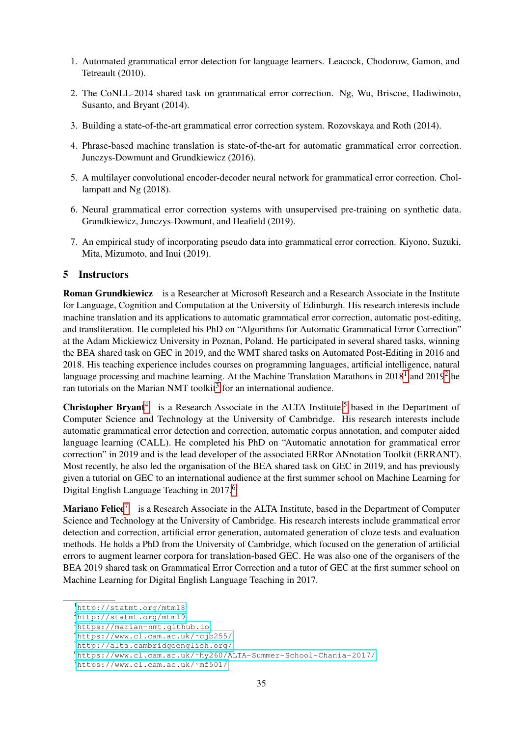- 1. Automated grammatical error detection for language learners. Leacock, Chodorow, Gamon, and Tetreault (2010).
- 2. The CoNLL-2014 shared task on grammatical error correction. Ng, Wu, Briscoe, Hadiwinoto, Susanto, and Bryant (2014).
- 3. Building a state-of-the-art grammatical error correction system. Rozovskaya and Roth (2014).
- 4. Phrase-based machine translation is state-of-the-art for automatic grammatical error correction. Junczys-Dowmunt and Grundkiewicz (2016).
- 5. A multilayer convolutional encoder-decoder neural network for grammatical error correction. Chollampatt and Ng (2018).
- 6. Neural grammatical error correction systems with unsupervised pre-training on synthetic data. Grundkiewicz, Junczys-Dowmunt, and Heafield (2019).
- 7. An empirical study of incorporating pseudo data into grammatical error correction. Kiyono, Suzuki, Mita, Mizumoto, and Inui (2019).

### 5 Instructors

Roman Grundkiewicz is a Researcher at Microsoft Research and a Research Associate in the Institute for Language, Cognition and Computation at the University of Edinburgh. His research interests include machine translation and its applications to automatic grammatical error correction, automatic post-editing, and transliteration. He completed his PhD on "Algorithms for Automatic Grammatical Error Correction" at the Adam Mickiewicz University in Poznan, Poland. He participated in several shared tasks, winning the BEA shared task on GEC in 2019, and the WMT shared tasks on Automated Post-Editing in 2016 and 2018. His teaching experience includes courses on programming languages, artificial intelligence, natural language processing and machine learning. At the Machine Translation Marathons in  $2018^1$  $2018^1$  $2018^1$  and  $2019^2$  $2019^2$  he ran tutorials on the Marian NMT toolkit<sup>[3](#page-2-2)</sup> for an international audience.

**Christopher Bryant**<sup>[4](#page-2-3)</sup> is a Research Associate in the ALTA Institute,<sup>[5](#page-2-4)</sup> based in the Department of Computer Science and Technology at the University of Cambridge. His research interests include automatic grammatical error detection and correction, automatic corpus annotation, and computer aided language learning (CALL). He completed his PhD on "Automatic annotation for grammatical error correction" in 2019 and is the lead developer of the associated ERRor ANnotation Toolkit (ERRANT). Most recently, he also led the organisation of the BEA shared task on GEC in 2019, and has previously given a tutorial on GEC to an international audience at the first summer school on Machine Learning for Digital English Language Teaching in 2017.<sup>[6](#page-2-5)</sup>

Mariano Felice<sup>[7](#page-2-6)</sup> is a Research Associate in the ALTA Institute, based in the Department of Computer Science and Technology at the University of Cambridge. His research interests include grammatical error detection and correction, artificial error generation, automated generation of cloze tests and evaluation methods. He holds a PhD from the University of Cambridge, which focused on the generation of artificial errors to augment learner corpora for translation-based GEC. He was also one of the organisers of the BEA 2019 shared task on Grammatical Error Correction and a tutor of GEC at the first summer school on Machine Learning for Digital English Language Teaching in 2017.

<span id="page-2-0"></span><sup>1</sup><http://statmt.org/mtm18>

<span id="page-2-1"></span><sup>2</sup><http://statmt.org/mtm19>

<span id="page-2-2"></span><sup>3</sup><https://marian-nmt.github.io>

<span id="page-2-3"></span><sup>4</sup>[https://www.cl.cam.ac.uk/˜cjb255/](https://www.cl.cam.ac.uk/~cjb255/)

<span id="page-2-4"></span><sup>5</sup><http://alta.cambridgeenglish.org/>

<span id="page-2-5"></span><sup>6</sup>[https://www.cl.cam.ac.uk/˜hy260/ALTA-Summer-School-Chania-2017/](https://www.cl.cam.ac.uk/~hy260/ALTA-Summer-School-Chania-2017/)

<span id="page-2-6"></span><sup>7</sup>[https://www.cl.cam.ac.uk/˜mf501/](https://www.cl.cam.ac.uk/~mf501/)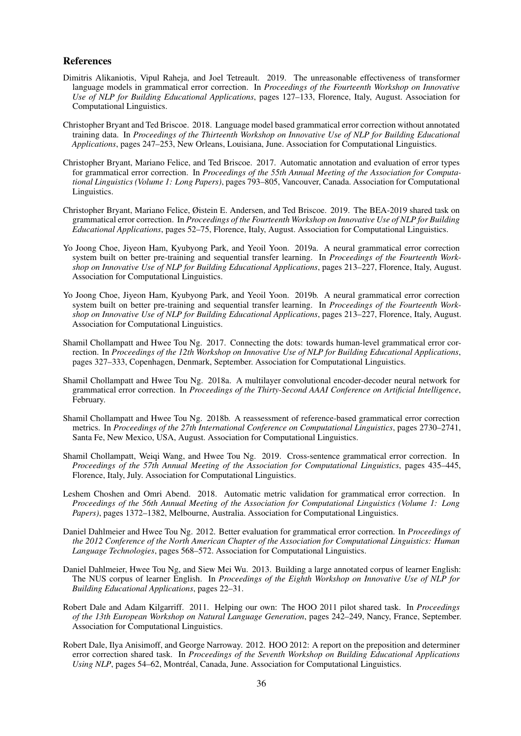#### References

- <span id="page-3-14"></span>Dimitris Alikaniotis, Vipul Raheja, and Joel Tetreault. 2019. The unreasonable effectiveness of transformer language models in grammatical error correction. In *Proceedings of the Fourteenth Workshop on Innovative Use of NLP for Building Educational Applications*, pages 127–133, Florence, Italy, August. Association for Computational Linguistics.
- <span id="page-3-13"></span>Christopher Bryant and Ted Briscoe. 2018. Language model based grammatical error correction without annotated training data. In *Proceedings of the Thirteenth Workshop on Innovative Use of NLP for Building Educational Applications*, pages 247–253, New Orleans, Louisiana, June. Association for Computational Linguistics.
- <span id="page-3-8"></span>Christopher Bryant, Mariano Felice, and Ted Briscoe. 2017. Automatic annotation and evaluation of error types for grammatical error correction. In *Proceedings of the 55th Annual Meeting of the Association for Computational Linguistics (Volume 1: Long Papers)*, pages 793–805, Vancouver, Canada. Association for Computational Linguistics.
- <span id="page-3-2"></span>Christopher Bryant, Mariano Felice, Øistein E. Andersen, and Ted Briscoe. 2019. The BEA-2019 shared task on grammatical error correction. In *Proceedings of the Fourteenth Workshop on Innovative Use of NLP for Building Educational Applications*, pages 52–75, Florence, Italy, August. Association for Computational Linguistics.
- <span id="page-3-3"></span>Yo Joong Choe, Jiyeon Ham, Kyubyong Park, and Yeoil Yoon. 2019a. A neural grammatical error correction system built on better pre-training and sequential transfer learning. In *Proceedings of the Fourteenth Workshop on Innovative Use of NLP for Building Educational Applications*, pages 213–227, Florence, Italy, August. Association for Computational Linguistics.
- <span id="page-3-11"></span>Yo Joong Choe, Jiyeon Ham, Kyubyong Park, and Yeoil Yoon. 2019b. A neural grammatical error correction system built on better pre-training and sequential transfer learning. In *Proceedings of the Fourteenth Workshop on Innovative Use of NLP for Building Educational Applications*, pages 213–227, Florence, Italy, August. Association for Computational Linguistics.
- <span id="page-3-4"></span>Shamil Chollampatt and Hwee Tou Ng. 2017. Connecting the dots: towards human-level grammatical error correction. In *Proceedings of the 12th Workshop on Innovative Use of NLP for Building Educational Applications*, pages 327–333, Copenhagen, Denmark, September. Association for Computational Linguistics.
- <span id="page-3-5"></span>Shamil Chollampatt and Hwee Tou Ng. 2018a. A multilayer convolutional encoder-decoder neural network for grammatical error correction. In *Proceedings of the Thirty-Second AAAI Conference on Artificial Intelligence*, February.
- <span id="page-3-10"></span>Shamil Chollampatt and Hwee Tou Ng. 2018b. A reassessment of reference-based grammatical error correction metrics. In *Proceedings of the 27th International Conference on Computational Linguistics*, pages 2730–2741, Santa Fe, New Mexico, USA, August. Association for Computational Linguistics.
- <span id="page-3-12"></span>Shamil Chollampatt, Weiqi Wang, and Hwee Tou Ng. 2019. Cross-sentence grammatical error correction. In *Proceedings of the 57th Annual Meeting of the Association for Computational Linguistics*, pages 435–445, Florence, Italy, July. Association for Computational Linguistics.
- <span id="page-3-9"></span>Leshem Choshen and Omri Abend. 2018. Automatic metric validation for grammatical error correction. In *Proceedings of the 56th Annual Meeting of the Association for Computational Linguistics (Volume 1: Long Papers)*, pages 1372–1382, Melbourne, Australia. Association for Computational Linguistics.
- <span id="page-3-7"></span>Daniel Dahlmeier and Hwee Tou Ng. 2012. Better evaluation for grammatical error correction. In *Proceedings of the 2012 Conference of the North American Chapter of the Association for Computational Linguistics: Human Language Technologies*, pages 568–572. Association for Computational Linguistics.
- <span id="page-3-6"></span>Daniel Dahlmeier, Hwee Tou Ng, and Siew Mei Wu. 2013. Building a large annotated corpus of learner English: The NUS corpus of learner English. In *Proceedings of the Eighth Workshop on Innovative Use of NLP for Building Educational Applications*, pages 22–31.
- <span id="page-3-0"></span>Robert Dale and Adam Kilgarriff. 2011. Helping our own: The HOO 2011 pilot shared task. In *Proceedings of the 13th European Workshop on Natural Language Generation*, pages 242–249, Nancy, France, September. Association for Computational Linguistics.
- <span id="page-3-1"></span>Robert Dale, Ilya Anisimoff, and George Narroway. 2012. HOO 2012: A report on the preposition and determiner error correction shared task. In *Proceedings of the Seventh Workshop on Building Educational Applications Using NLP*, pages 54–62, Montréal, Canada, June. Association for Computational Linguistics.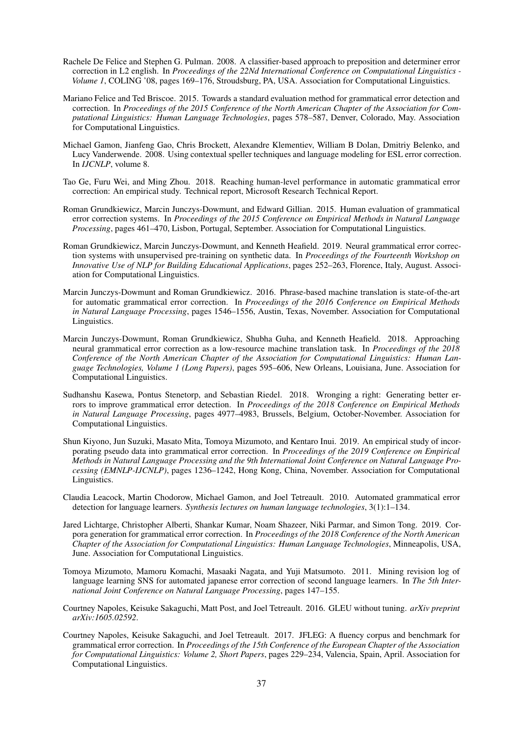- <span id="page-4-3"></span>Rachele De Felice and Stephen G. Pulman. 2008. A classifier-based approach to preposition and determiner error correction in L2 english. In *Proceedings of the 22Nd International Conference on Computational Linguistics - Volume 1*, COLING '08, pages 169–176, Stroudsburg, PA, USA. Association for Computational Linguistics.
- <span id="page-4-8"></span>Mariano Felice and Ted Briscoe. 2015. Towards a standard evaluation method for grammatical error detection and correction. In *Proceedings of the 2015 Conference of the North American Chapter of the Association for Computational Linguistics: Human Language Technologies*, pages 578–587, Denver, Colorado, May. Association for Computational Linguistics.
- <span id="page-4-2"></span>Michael Gamon, Jianfeng Gao, Chris Brockett, Alexandre Klementiev, William B Dolan, Dmitriy Belenko, and Lucy Vanderwende. 2008. Using contextual speller techniques and language modeling for ESL error correction. In *IJCNLP*, volume 8.
- <span id="page-4-12"></span>Tao Ge, Furu Wei, and Ming Zhou. 2018. Reaching human-level performance in automatic grammatical error correction: An empirical study. Technical report, Microsoft Research Technical Report.
- <span id="page-4-10"></span>Roman Grundkiewicz, Marcin Junczys-Dowmunt, and Edward Gillian. 2015. Human evaluation of grammatical error correction systems. In *Proceedings of the 2015 Conference on Empirical Methods in Natural Language Processing*, pages 461–470, Lisbon, Portugal, September. Association for Computational Linguistics.
- <span id="page-4-1"></span>Roman Grundkiewicz, Marcin Junczys-Dowmunt, and Kenneth Heafield. 2019. Neural grammatical error correction systems with unsupervised pre-training on synthetic data. In *Proceedings of the Fourteenth Workshop on Innovative Use of NLP for Building Educational Applications*, pages 252–263, Florence, Italy, August. Association for Computational Linguistics.
- <span id="page-4-4"></span>Marcin Junczys-Dowmunt and Roman Grundkiewicz. 2016. Phrase-based machine translation is state-of-the-art for automatic grammatical error correction. In *Proceedings of the 2016 Conference on Empirical Methods in Natural Language Processing*, pages 1546–1556, Austin, Texas, November. Association for Computational Linguistics.
- <span id="page-4-5"></span>Marcin Junczys-Dowmunt, Roman Grundkiewicz, Shubha Guha, and Kenneth Heafield. 2018. Approaching neural grammatical error correction as a low-resource machine translation task. In *Proceedings of the 2018 Conference of the North American Chapter of the Association for Computational Linguistics: Human Language Technologies, Volume 1 (Long Papers)*, pages 595–606, New Orleans, Louisiana, June. Association for Computational Linguistics.
- <span id="page-4-11"></span>Sudhanshu Kasewa, Pontus Stenetorp, and Sebastian Riedel. 2018. Wronging a right: Generating better errors to improve grammatical error detection. In *Proceedings of the 2018 Conference on Empirical Methods in Natural Language Processing*, pages 4977–4983, Brussels, Belgium, October-November. Association for Computational Linguistics.
- <span id="page-4-14"></span>Shun Kiyono, Jun Suzuki, Masato Mita, Tomoya Mizumoto, and Kentaro Inui. 2019. An empirical study of incorporating pseudo data into grammatical error correction. In *Proceedings of the 2019 Conference on Empirical Methods in Natural Language Processing and the 9th International Joint Conference on Natural Language Processing (EMNLP-IJCNLP)*, pages 1236–1242, Hong Kong, China, November. Association for Computational Linguistics.
- <span id="page-4-0"></span>Claudia Leacock, Martin Chodorow, Michael Gamon, and Joel Tetreault. 2010. Automated grammatical error detection for language learners. *Synthesis lectures on human language technologies*, 3(1):1–134.
- <span id="page-4-13"></span>Jared Lichtarge, Christopher Alberti, Shankar Kumar, Noam Shazeer, Niki Parmar, and Simon Tong. 2019. Corpora generation for grammatical error correction. In *Proceedings of the 2018 Conference of the North American Chapter of the Association for Computational Linguistics: Human Language Technologies*, Minneapolis, USA, June. Association for Computational Linguistics.
- <span id="page-4-6"></span>Tomoya Mizumoto, Mamoru Komachi, Masaaki Nagata, and Yuji Matsumoto. 2011. Mining revision log of language learning SNS for automated japanese error correction of second language learners. In *The 5th International Joint Conference on Natural Language Processing*, pages 147–155.
- <span id="page-4-9"></span>Courtney Napoles, Keisuke Sakaguchi, Matt Post, and Joel Tetreault. 2016. GLEU without tuning. *arXiv preprint arXiv:1605.02592*.
- <span id="page-4-7"></span>Courtney Napoles, Keisuke Sakaguchi, and Joel Tetreault. 2017. JFLEG: A fluency corpus and benchmark for grammatical error correction. In *Proceedings of the 15th Conference of the European Chapter of the Association for Computational Linguistics: Volume 2, Short Papers*, pages 229–234, Valencia, Spain, April. Association for Computational Linguistics.